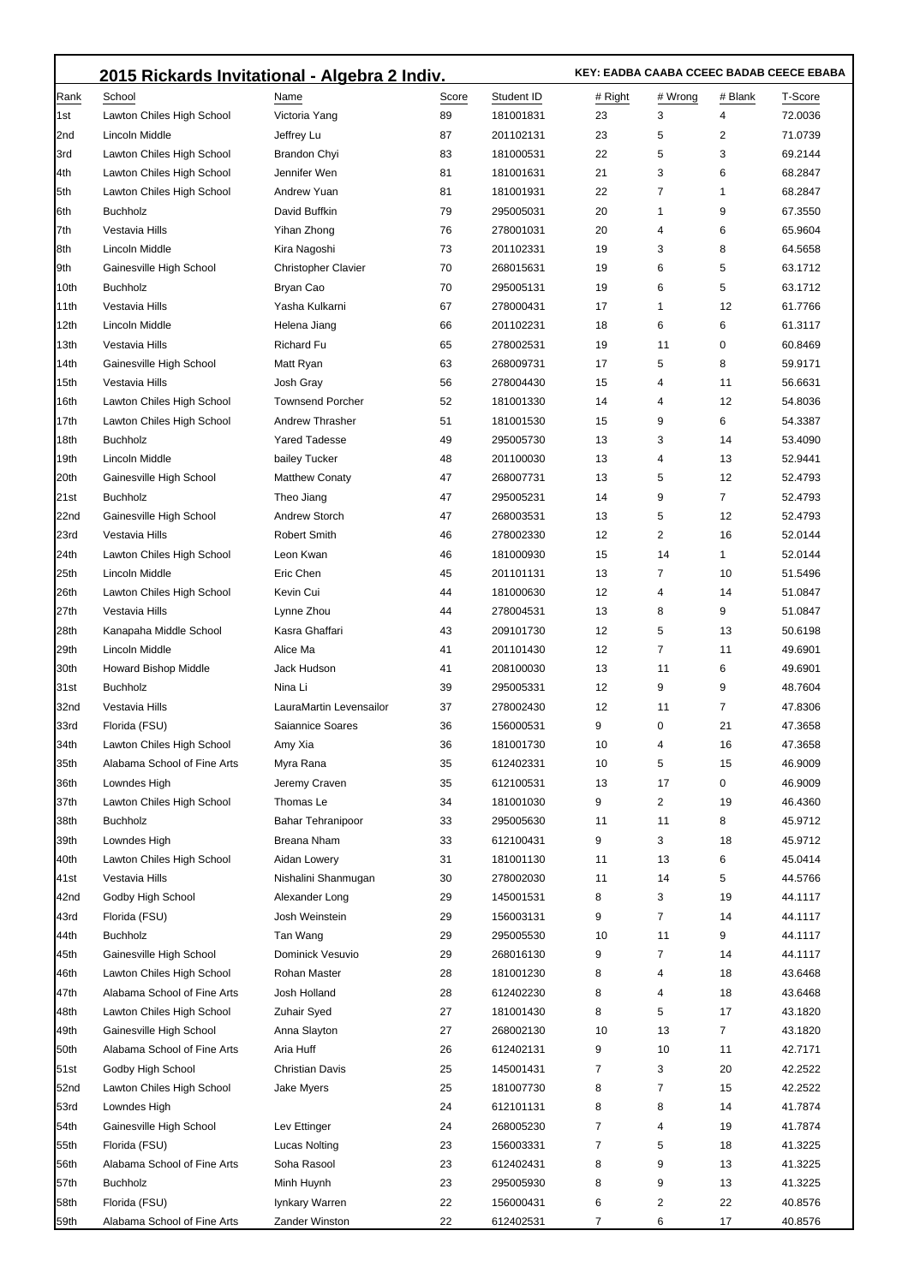|                  | 2015 Rickards Invitational - Algebra 2 Indiv. |                            |       |            | KEY: EADBA CAABA CCEEC BADAB CEECE EBABA |         |         |         |
|------------------|-----------------------------------------------|----------------------------|-------|------------|------------------------------------------|---------|---------|---------|
| Rank             | School                                        | Name                       | Score | Student ID | # Right                                  | # Wrong | # Blank | T-Score |
| 1st              | Lawton Chiles High School                     | Victoria Yang              | 89    | 181001831  | 23                                       | 3       | 4       | 72.0036 |
| 2nd              | Lincoln Middle                                | Jeffrey Lu                 | 87    | 201102131  | 23                                       | 5       | 2       | 71.0739 |
| 3rd              | Lawton Chiles High School                     | <b>Brandon Chyi</b>        | 83    | 181000531  | 22                                       | 5       | 3       | 69.2144 |
| 4th              | Lawton Chiles High School                     | Jennifer Wen               | 81    | 181001631  | 21                                       | 3       | 6       | 68.2847 |
| 5th              | Lawton Chiles High School                     | Andrew Yuan                | 81    | 181001931  | 22                                       | 7       | 1       | 68.2847 |
| 6th              | <b>Buchholz</b>                               | David Buffkin              | 79    | 295005031  | 20                                       | 1       | 9       | 67.3550 |
| 7th              | Vestavia Hills                                | Yihan Zhong                | 76    | 278001031  | 20                                       | 4       | 6       | 65.9604 |
| 8th              | Lincoln Middle                                | Kira Nagoshi               | 73    | 201102331  | 19                                       | 3       | 8       | 64.5658 |
| 9th              | Gainesville High School                       | <b>Christopher Clavier</b> | 70    | 268015631  | 19                                       | 6       | 5       | 63.1712 |
| 10th             | <b>Buchholz</b>                               | Bryan Cao                  | 70    | 295005131  | 19                                       | 6       | 5       | 63.1712 |
| 11th             | Vestavia Hills                                | Yasha Kulkarni             | 67    | 278000431  | 17                                       | 1       | 12      | 61.7766 |
| 12th             | Lincoln Middle                                | Helena Jiang               | 66    | 201102231  | 18                                       | 6       | 6       | 61.3117 |
| 13th             | Vestavia Hills                                | <b>Richard Fu</b>          | 65    | 278002531  | 19                                       | 11      | 0       | 60.8469 |
| 14th             | Gainesville High School                       | Matt Ryan                  | 63    | 268009731  | 17                                       | 5       | 8       | 59.9171 |
| 15th             | Vestavia Hills                                | Josh Gray                  | 56    | 278004430  | 15                                       | 4       | 11      | 56.6631 |
| 16th             | Lawton Chiles High School                     | <b>Townsend Porcher</b>    | 52    | 181001330  | 14                                       | 4       | 12      | 54.8036 |
| 17th             | Lawton Chiles High School                     | Andrew Thrasher            | 51    | 181001530  | 15                                       | 9       | 6       | 54.3387 |
| 18th             | <b>Buchholz</b>                               | <b>Yared Tadesse</b>       | 49    | 295005730  | 13                                       | 3       | 14      | 53.4090 |
| 19th             | Lincoln Middle                                | bailey Tucker              | 48    | 201100030  | 13                                       | 4       | 13      | 52.9441 |
| 20th             | Gainesville High School                       | <b>Matthew Conaty</b>      | 47    | 268007731  | 13                                       | 5       | 12      | 52.4793 |
| 21st             | <b>Buchholz</b>                               | Theo Jiang                 | 47    | 295005231  | 14                                       | 9       | 7       | 52.4793 |
| 22nd             | Gainesville High School                       | <b>Andrew Storch</b>       | 47    | 268003531  | 13                                       | 5       | 12      | 52.4793 |
| 23rd             | Vestavia Hills                                | <b>Robert Smith</b>        | 46    | 278002330  | 12                                       | 2       | 16      | 52.0144 |
| 24th             | Lawton Chiles High School                     | Leon Kwan                  | 46    | 181000930  | 15                                       | 14      | 1       | 52.0144 |
| 25th             | Lincoln Middle                                | Eric Chen                  | 45    | 201101131  | 13                                       | 7       | 10      | 51.5496 |
| 26th             | Lawton Chiles High School                     | Kevin Cui                  | 44    | 181000630  | 12                                       | 4       | 14      | 51.0847 |
| 27th             | Vestavia Hills                                | Lynne Zhou                 | 44    | 278004531  | 13                                       | 8       | 9       | 51.0847 |
| 28th             | Kanapaha Middle School                        | Kasra Ghaffari             | 43    | 209101730  | 12                                       | 5       | 13      | 50.6198 |
| 29th             | Lincoln Middle                                | Alice Ma                   | 41    | 201101430  | 12                                       | 7       | 11      | 49.6901 |
| 30th             | Howard Bishop Middle                          | Jack Hudson                | 41    | 208100030  | 13                                       | 11      | 6       | 49.6901 |
| 31st             | <b>Buchholz</b>                               | Nina Li                    | 39    | 295005331  | 12                                       | 9       | 9       | 48.7604 |
| 32nd             | Vestavia Hills                                | LauraMartin Levensailor    | 37    | 278002430  | 12                                       | 11      | 7       | 47.8306 |
| 33rd             | Florida (FSU)                                 | Saiannice Soares           | 36    | 156000531  | 9                                        | 0       | 21      | 47.3658 |
| 34th             | Lawton Chiles High School                     | Amy Xia                    | 36    | 181001730  | 10                                       | 4       | 16      | 47.3658 |
| 35th             | Alabama School of Fine Arts                   | Myra Rana                  | 35    | 612402331  | 10                                       | 5       | 15      | 46.9009 |
| 36th             | Lowndes High                                  | Jeremy Craven              | 35    | 612100531  | 13                                       | 17      | 0       | 46.9009 |
| 37th             | Lawton Chiles High School                     | Thomas Le                  | 34    | 181001030  | 9                                        | 2       | 19      | 46.4360 |
| 38th             | <b>Buchholz</b>                               | <b>Bahar Tehranipoor</b>   | 33    | 295005630  | 11                                       | 11      | 8       | 45.9712 |
| 39th             | Lowndes High                                  | Breana Nham                | 33    | 612100431  | 9                                        | 3       | 18      | 45.9712 |
| 40th             | Lawton Chiles High School                     | Aidan Lowery               | 31    | 181001130  | 11                                       | 13      | 6       | 45.0414 |
| 41 <sub>st</sub> | Vestavia Hills                                | Nishalini Shanmugan        | 30    | 278002030  | 11                                       | 14      | 5       | 44.5766 |
| 42nd             | Godby High School                             | Alexander Long             | 29    | 145001531  | 8                                        | 3       | 19      | 44.1117 |
| 43rd             | Florida (FSU)                                 | Josh Weinstein             | 29    | 156003131  | 9                                        | 7       | 14      | 44.1117 |
| 44th             | <b>Buchholz</b>                               | Tan Wang                   | 29    | 295005530  | 10                                       | 11      | 9       | 44.1117 |
| 45th             | Gainesville High School                       | Dominick Vesuvio           | 29    | 268016130  | 9                                        | 7       | 14      | 44.1117 |
| 46th             | Lawton Chiles High School                     | Rohan Master               | 28    | 181001230  | 8                                        | 4       | 18      | 43.6468 |
| 47th             | Alabama School of Fine Arts                   | Josh Holland               | 28    | 612402230  | 8                                        | 4       | 18      | 43.6468 |
| 48th             | Lawton Chiles High School                     | <b>Zuhair Syed</b>         | 27    | 181001430  | 8                                        | 5       | 17      | 43.1820 |
| 49th             | Gainesville High School                       | Anna Slayton               | 27    | 268002130  | 10                                       | 13      | 7       | 43.1820 |
| 50th             | Alabama School of Fine Arts                   | Aria Huff                  | 26    | 612402131  | 9                                        | 10      | 11      | 42.7171 |
| 51st             | Godby High School                             | Christian Davis            | 25    | 145001431  | 7                                        | 3       | 20      | 42.2522 |
| 52nd             | Lawton Chiles High School                     | Jake Myers                 | 25    | 181007730  | 8                                        | 7       | 15      | 42.2522 |
| 53rd             | Lowndes High                                  |                            | 24    | 612101131  | 8                                        | 8       | 14      | 41.7874 |
| 54th             | Gainesville High School                       | Lev Ettinger               | 24    | 268005230  | $\overline{7}$                           | 4       | 19      | 41.7874 |
| 55th             | Florida (FSU)                                 | <b>Lucas Nolting</b>       | 23    | 156003331  | 7                                        | 5       | 18      | 41.3225 |
| 56th             | Alabama School of Fine Arts                   | Soha Rasool                | 23    | 612402431  | 8                                        | 9       | 13      | 41.3225 |
| 57th             | <b>Buchholz</b>                               | Minh Huynh                 | 23    | 295005930  | 8                                        | 9       | 13      | 41.3225 |
| 58th             | Florida (FSU)                                 | lynkary Warren             | 22    | 156000431  | 6                                        | 2       | 22      | 40.8576 |
| 59th             | Alabama School of Fine Arts                   | Zander Winston             | 22    | 612402531  | $\overline{7}$                           | 6       | 17      | 40.8576 |